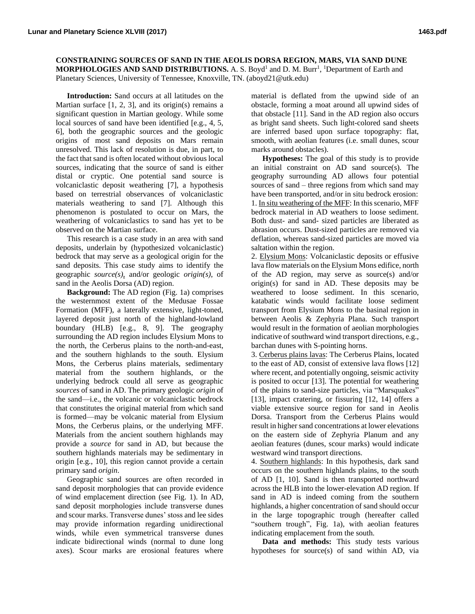**CONSTRAINING SOURCES OF SAND IN THE AEOLIS DORSA REGION, MARS, VIA SAND DUNE MORPHOLOGIES AND SAND DISTRIBUTIONS.** A. S. Boyd<sup>1</sup> and D. M. Burr<sup>1</sup>, <sup>1</sup>Department of Earth and Planetary Sciences, University of Tennessee, Knoxville, TN. (aboyd21@utk.edu)

**Introduction:** Sand occurs at all latitudes on the Martian surface  $[1, 2, 3]$ , and its origin(s) remains a significant question in Martian geology. While some local sources of sand have been identified [e.g., 4, 5, 6], both the geographic sources and the geologic origins of most sand deposits on Mars remain unresolved. This lack of resolution is due, in part, to the fact that sand is often located without obvious local sources, indicating that the source of sand is either distal or cryptic. One potential sand source is volcaniclastic deposit weathering [7], a hypothesis based on terrestrial observances of volcaniclastic materials weathering to sand [7]. Although this phenomenon is postulated to occur on Mars, the weathering of volcaniclastics to sand has yet to be observed on the Martian surface.

This research is a case study in an area with sand deposits, underlain by (hypothesized volcaniclastic) bedrock that may serve as a geological origin for the sand deposits. This case study aims to identify the geographic *source(s)*, and/or geologic *origin(s)*, of sand in the Aeolis Dorsa (AD) region.

**Background:** The AD region (Fig. 1a) comprises the westernmost extent of the Medusae Fossae Formation (MFF), a laterally extensive, light-toned, layered deposit just north of the highland-lowland boundary (HLB) [e.g., 8, 9]. The geography surrounding the AD region includes Elysium Mons to the north, the Cerberus plains to the north-and-east, and the southern highlands to the south. Elysium Mons, the Cerberus plains materials, sedimentary material from the southern highlands, or the underlying bedrock could all serve as geographic *sources* of sand in AD. The primary geologic *origin* of the sand—i.e., the volcanic or volcaniclastic bedrock that constitutes the original material from which sand is formed—may be volcanic material from Elysium Mons, the Cerberus plains, or the underlying MFF. Materials from the ancient southern highlands may provide a *source* for sand in AD, but because the southern highlands materials may be sedimentary in origin [e.g., 10], this region cannot provide a certain primary sand *origin*.

Geographic sand sources are often recorded in sand deposit morphologies that can provide evidence of wind emplacement direction (see Fig. 1). In AD, sand deposit morphologies include transverse dunes and scour marks. Transverse dunes' stoss and lee sides may provide information regarding unidirectional winds, while even symmetrical transverse dunes indicate bidirectional winds (normal to dune long axes). Scour marks are erosional features where material is deflated from the upwind side of an obstacle, forming a moat around all upwind sides of that obstacle [11]. Sand in the AD region also occurs as bright sand sheets. Such light-colored sand sheets are inferred based upon surface topography: flat, smooth, with aeolian features (i.e. small dunes, scour marks around obstacles).

**Hypotheses:** The goal of this study is to provide an initial constraint on AD sand source(s). The geography surrounding AD allows four potential sources of sand – three regions from which sand may have been transported, and/or in situ bedrock erosion: 1. In situ weathering of the MFF: In this scenario, MFF bedrock material in AD weathers to loose sediment. Both dust- and sand- sized particles are liberated as abrasion occurs. Dust-sized particles are removed via deflation, whereas sand-sized particles are moved via saltation within the region.

2. Elysium Mons: Volcaniclastic deposits or effusive lava flow materials on the Elysium Mons edifice, north of the AD region, may serve as source(s) and/or origin(s) for sand in AD. These deposits may be weathered to loose sediment. In this scenario, katabatic winds would facilitate loose sediment transport from Elysium Mons to the basinal region in between Aeolis & Zephyria Plana. Such transport would result in the formation of aeolian morphologies indicative of southward wind transport directions, e.g., barchan dunes with S-pointing horns.

3. Cerberus plains lavas: The Cerberus Plains, located to the east of AD, consist of extensive lava flows [12] where recent, and potentially ongoing, seismic activity is posited to occur [13]. The potential for weathering of the plains to sand-size particles, via "Marsquakes" [13], impact cratering, or fissuring [12, 14] offers a viable extensive source region for sand in Aeolis Dorsa. Transport from the Cerberus Plains would result in higher sand concentrations at lower elevations on the eastern side of Zephyria Planum and any aeolian features (dunes, scour marks) would indicate westward wind transport directions.

4. Southern highlands: In this hypothesis, dark sand occurs on the southern highlands plains, to the south of AD [1, 10]. Sand is then transported northward across the HLB into the lower-elevation AD region. If sand in AD is indeed coming from the southern highlands, a higher concentration of sand should occur in the large topographic trough (hereafter called "southern trough", Fig. 1a), with aeolian features indicating emplacement from the south.

**Data and methods:** This study tests various hypotheses for source(s) of sand within AD, via